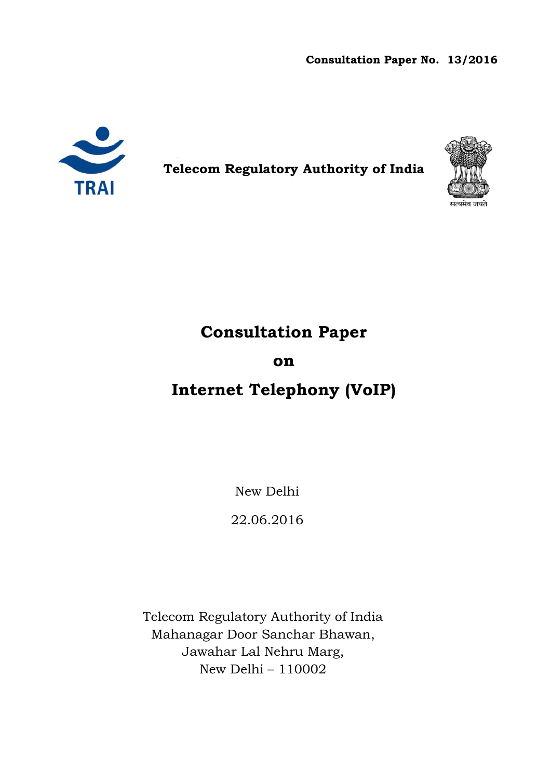Consultation Paper No. Paper No. 13/2016



Telecom Regulatory Authority of India



# Consultation Paper

# on

# Internet Telephony (VoIP)

New Delhi

22.06.2016

Telecom Regulatory Authority of India Mahanagar Door Sanchar Bhawan, Jawahar Lal Nehru Marg, New Delhi – 110002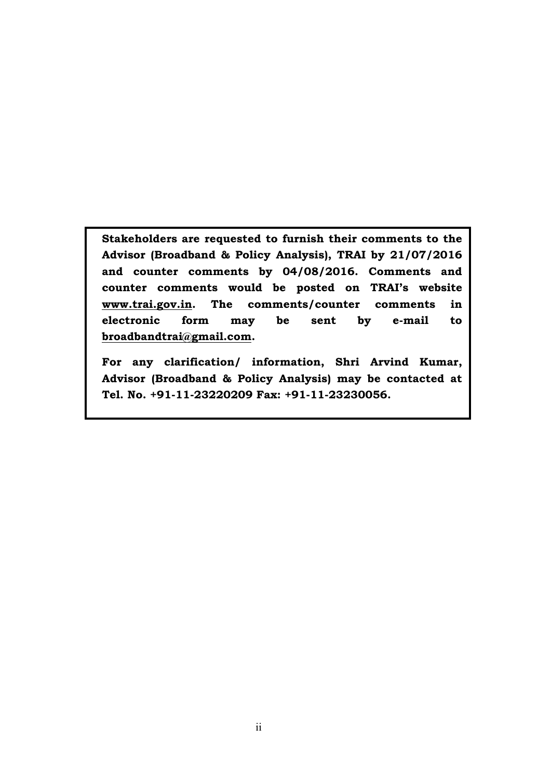Stakeholders are requested to furnish their comments to the Advisor (Broadband & Policy Analysis), TRAI by 21/07/2016 and counter comments by 04/08/2016. Comments and counter comments would be posted on TRAI's website www.trai.gov.in. The comments/counter comments in electronic form may be sent by e-mail to broadbandtrai@gmail.com.

For any clarification/ information, Shri Arvind Kumar, Advisor (Broadband & Policy Analysis) may be contacted at Tel. No. +91-11-23220209 Fax: +91-11-23230056.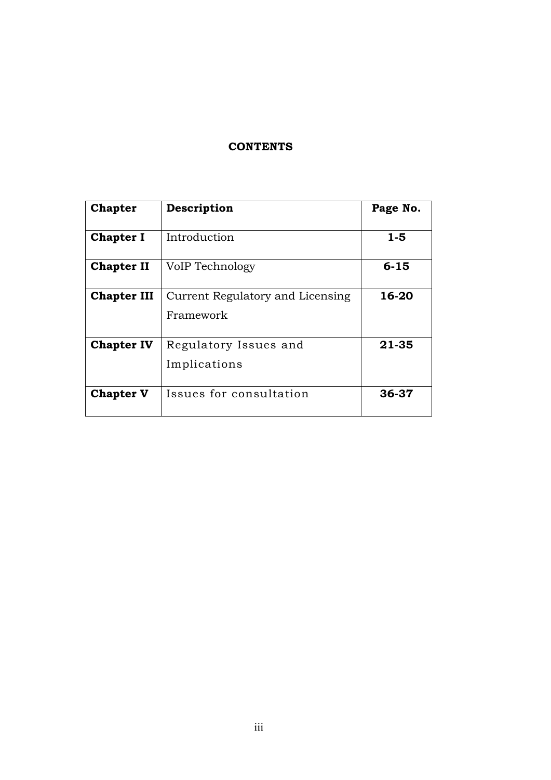# **CONTENTS**

| <b>Chapter</b>     | Description                                   | Page No.  |
|--------------------|-----------------------------------------------|-----------|
| <b>Chapter I</b>   | Introduction                                  | 1-5       |
| <b>Chapter II</b>  | VoIP Technology                               | $6 - 15$  |
| <b>Chapter III</b> | Current Regulatory and Licensing<br>Framework | 16-20     |
| <b>Chapter IV</b>  | Regulatory Issues and<br>Implications         | $21 - 35$ |
| <b>Chapter V</b>   | Issues for consultation                       | 36-37     |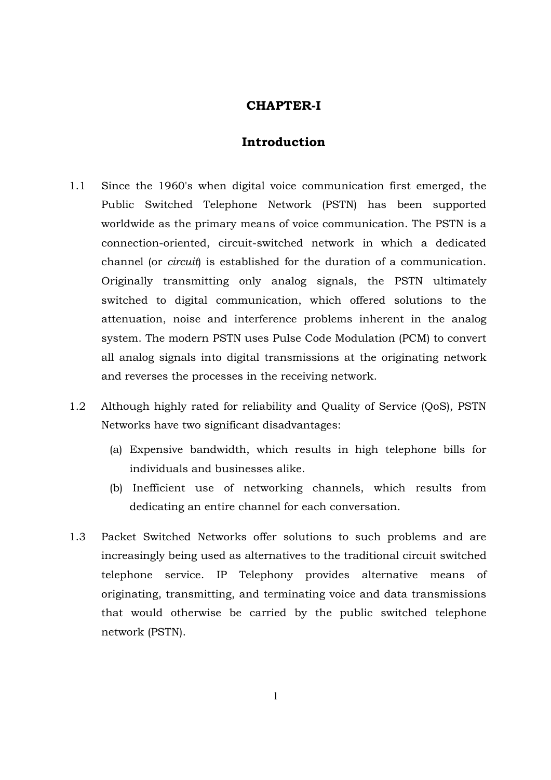# CHAPTER-I

# Introduction

- 1.1 Since the 1960's when digital voice communication first emerged, the Public Switched Telephone Network (PSTN) has been supported worldwide as the primary means of voice communication. The PSTN is a connection-oriented, circuit-switched network in which a dedicated channel (or *circuit*) is established for the duration of a communication. Originally transmitting only analog signals, the PSTN ultimately switched to digital communication, which offered solutions to the attenuation, noise and interference problems inherent in the analog system. The modern PSTN uses Pulse Code Modulation (PCM) to convert all analog signals into digital transmissions at the originating network and reverses the processes in the receiving network.
- 1.2 Although highly rated for reliability and Quality of Service (QoS), PSTN Networks have two significant disadvantages:
	- (a) Expensive bandwidth, which results in high telephone bills for individuals and businesses alike.
	- (b) Inefficient use of networking channels, which results from dedicating an entire channel for each conversation.
- 1.3 Packet Switched Networks offer solutions to such problems and are increasingly being used as alternatives to the traditional circuit switched telephone service. IP Telephony provides alternative means of originating, transmitting, and terminating voice and data transmissions that would otherwise be carried by the public switched telephone network (PSTN).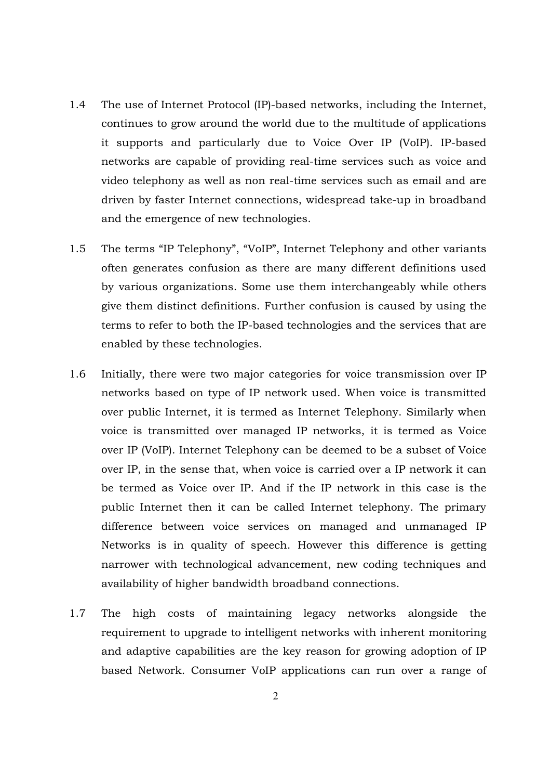- 1.4 The use of Internet Protocol (IP)-based networks, including the Internet, continues to grow around the world due to the multitude of applications it supports and particularly due to Voice Over IP (VoIP). IP-based networks are capable of providing real-time services such as voice and video telephony as well as non real-time services such as email and are driven by faster Internet connections, widespread take-up in broadband and the emergence of new technologies.
- 1.5 The terms "IP Telephony", "VoIP", Internet Telephony and other variants often generates confusion as there are many different definitions used by various organizations. Some use them interchangeably while others give them distinct definitions. Further confusion is caused by using the terms to refer to both the IP-based technologies and the services that are enabled by these technologies.
- 1.6 Initially, there were two major categories for voice transmission over IP networks based on type of IP network used. When voice is transmitted over public Internet, it is termed as Internet Telephony. Similarly when voice is transmitted over managed IP networks, it is termed as Voice over IP (VoIP). Internet Telephony can be deemed to be a subset of Voice over IP, in the sense that, when voice is carried over a IP network it can be termed as Voice over IP. And if the IP network in this case is the public Internet then it can be called Internet telephony. The primary difference between voice services on managed and unmanaged IP Networks is in quality of speech. However this difference is getting narrower with technological advancement, new coding techniques and availability of higher bandwidth broadband connections.
- 1.7 The high costs of maintaining legacy networks alongside the requirement to upgrade to intelligent networks with inherent monitoring and adaptive capabilities are the key reason for growing adoption of IP based Network. Consumer VoIP applications can run over a range of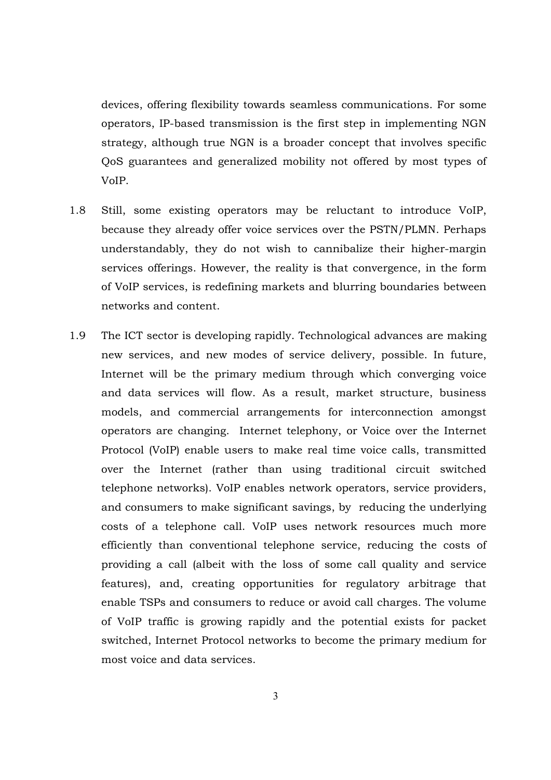devices, offering flexibility towards seamless communications. For some operators, IP-based transmission is the first step in implementing NGN strategy, although true NGN is a broader concept that involves specific QoS guarantees and generalized mobility not offered by most types of VoIP.

- 1.8 Still, some existing operators may be reluctant to introduce VoIP, because they already offer voice services over the PSTN/PLMN. Perhaps understandably, they do not wish to cannibalize their higher-margin services offerings. However, the reality is that convergence, in the form of VoIP services, is redefining markets and blurring boundaries between networks and content.
- 1.9 The ICT sector is developing rapidly. Technological advances are making new services, and new modes of service delivery, possible. In future, Internet will be the primary medium through which converging voice and data services will flow. As a result, market structure, business models, and commercial arrangements for interconnection amongst operators are changing. Internet telephony, or Voice over the Internet Protocol (VoIP) enable users to make real time voice calls, transmitted over the Internet (rather than using traditional circuit switched telephone networks). VoIP enables network operators, service providers, and consumers to make significant savings, by reducing the underlying costs of a telephone call. VoIP uses network resources much more efficiently than conventional telephone service, reducing the costs of providing a call (albeit with the loss of some call quality and service features), and, creating opportunities for regulatory arbitrage that enable TSPs and consumers to reduce or avoid call charges. The volume of VoIP traffic is growing rapidly and the potential exists for packet switched, Internet Protocol networks to become the primary medium for most voice and data services.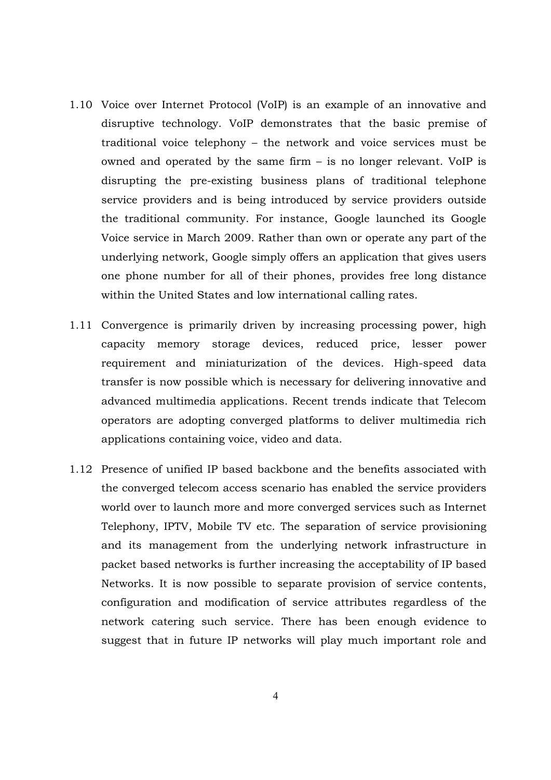- 1.10 Voice over Internet Protocol (VoIP) is an example of an innovative and disruptive technology. VoIP demonstrates that the basic premise of traditional voice telephony – the network and voice services must be owned and operated by the same firm – is no longer relevant. VoIP is disrupting the pre-existing business plans of traditional telephone service providers and is being introduced by service providers outside the traditional community. For instance, Google launched its Google Voice service in March 2009. Rather than own or operate any part of the underlying network, Google simply offers an application that gives users one phone number for all of their phones, provides free long distance within the United States and low international calling rates.
- 1.11 Convergence is primarily driven by increasing processing power, high capacity memory storage devices, reduced price, lesser power requirement and miniaturization of the devices. High-speed data transfer is now possible which is necessary for delivering innovative and advanced multimedia applications. Recent trends indicate that Telecom operators are adopting converged platforms to deliver multimedia rich applications containing voice, video and data.
- 1.12 Presence of unified IP based backbone and the benefits associated with the converged telecom access scenario has enabled the service providers world over to launch more and more converged services such as Internet Telephony, IPTV, Mobile TV etc. The separation of service provisioning and its management from the underlying network infrastructure in packet based networks is further increasing the acceptability of IP based Networks. It is now possible to separate provision of service contents, configuration and modification of service attributes regardless of the network catering such service. There has been enough evidence to suggest that in future IP networks will play much important role and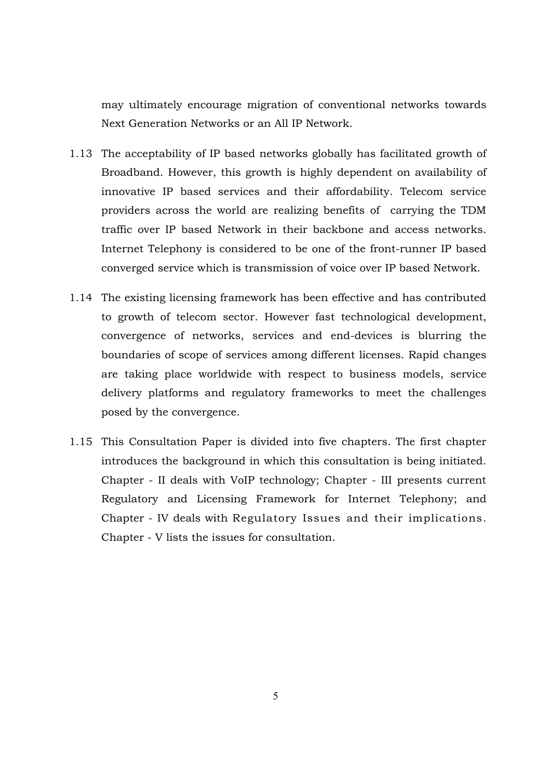may ultimately encourage migration of conventional networks towards Next Generation Networks or an All IP Network.

- 1.13 The acceptability of IP based networks globally has facilitated growth of Broadband. However, this growth is highly dependent on availability of innovative IP based services and their affordability. Telecom service providers across the world are realizing benefits of carrying the TDM traffic over IP based Network in their backbone and access networks. Internet Telephony is considered to be one of the front-runner IP based converged service which is transmission of voice over IP based Network.
- 1.14 The existing licensing framework has been effective and has contributed to growth of telecom sector. However fast technological development, convergence of networks, services and end-devices is blurring the boundaries of scope of services among different licenses. Rapid changes are taking place worldwide with respect to business models, service delivery platforms and regulatory frameworks to meet the challenges posed by the convergence.
- 1.15 This Consultation Paper is divided into five chapters. The first chapter introduces the background in which this consultation is being initiated. Chapter - II deals with VoIP technology; Chapter - III presents current Regulatory and Licensing Framework for Internet Telephony; and Chapter - IV deals with Regulatory Issues and their implications. Chapter - V lists the issues for consultation.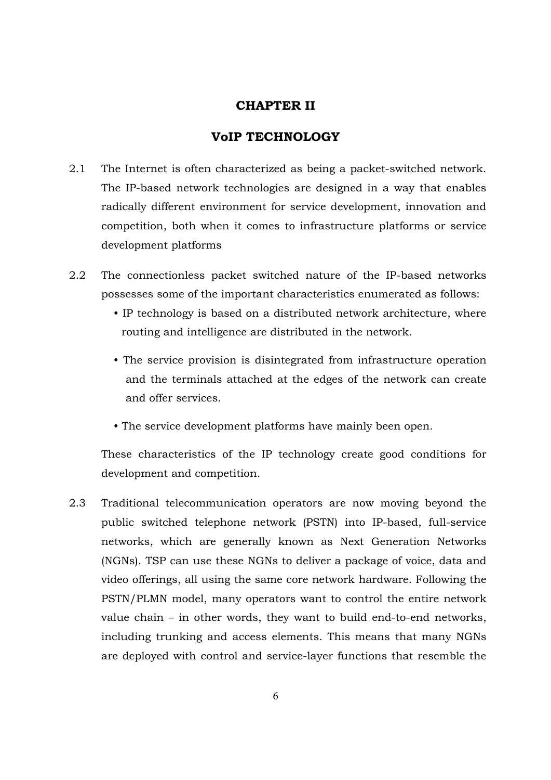# CHAPTER II

# VoIP TECHNOLOGY

- 2.1 The Internet is often characterized as being a packet-switched network. The IP-based network technologies are designed in a way that enables radically different environment for service development, innovation and competition, both when it comes to infrastructure platforms or service development platforms
- 2.2 The connectionless packet switched nature of the IP-based networks possesses some of the important characteristics enumerated as follows:
	- IP technology is based on a distributed network architecture, where routing and intelligence are distributed in the network.
	- The service provision is disintegrated from infrastructure operation and the terminals attached at the edges of the network can create and offer services.
	- The service development platforms have mainly been open.

These characteristics of the IP technology create good conditions for development and competition.

2.3 Traditional telecommunication operators are now moving beyond the public switched telephone network (PSTN) into IP-based, full-service networks, which are generally known as Next Generation Networks (NGNs). TSP can use these NGNs to deliver a package of voice, data and video offerings, all using the same core network hardware. Following the PSTN/PLMN model, many operators want to control the entire network value chain – in other words, they want to build end-to-end networks, including trunking and access elements. This means that many NGNs are deployed with control and service-layer functions that resemble the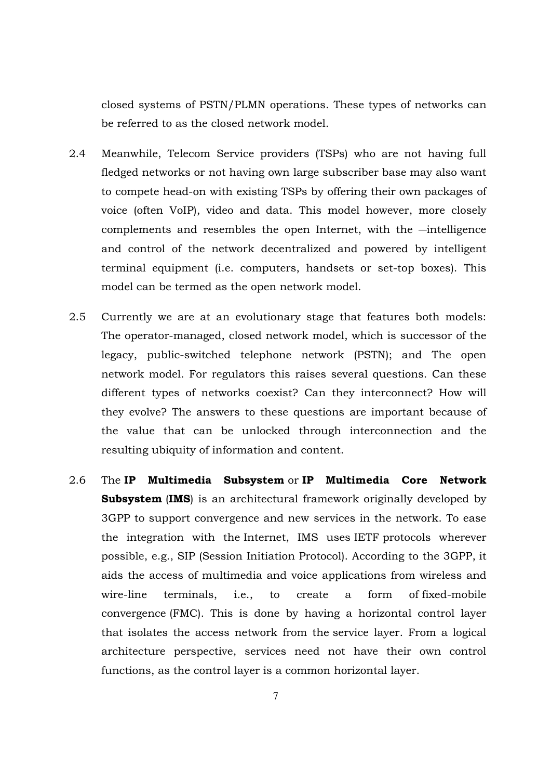closed systems of PSTN/PLMN operations. These types of networks can be referred to as the closed network model.

- 2.4 Meanwhile, Telecom Service providers (TSPs) who are not having full fledged networks or not having own large subscriber base may also want to compete head-on with existing TSPs by offering their own packages of voice (often VoIP), video and data. This model however, more closely complements and resembles the open Internet, with the —intelligence and control of the network decentralized and powered by intelligent terminal equipment (i.e. computers, handsets or set-top boxes). This model can be termed as the open network model.
- 2.5 Currently we are at an evolutionary stage that features both models: The operator-managed, closed network model, which is successor of the legacy, public-switched telephone network (PSTN); and The open network model. For regulators this raises several questions. Can these different types of networks coexist? Can they interconnect? How will they evolve? The answers to these questions are important because of the value that can be unlocked through interconnection and the resulting ubiquity of information and content.
- 2.6 The IP Multimedia Subsystem or IP Multimedia Core Network Subsystem (IMS) is an architectural framework originally developed by 3GPP to support convergence and new services in the network. To ease the integration with the Internet, IMS uses IETF protocols wherever possible, e.g., SIP (Session Initiation Protocol). According to the 3GPP, it aids the access of multimedia and voice applications from wireless and wire-line terminals, i.e., to create a form of fixed-mobile convergence (FMC). This is done by having a horizontal control layer that isolates the access network from the service layer. From a logical architecture perspective, services need not have their own control functions, as the control layer is a common horizontal layer.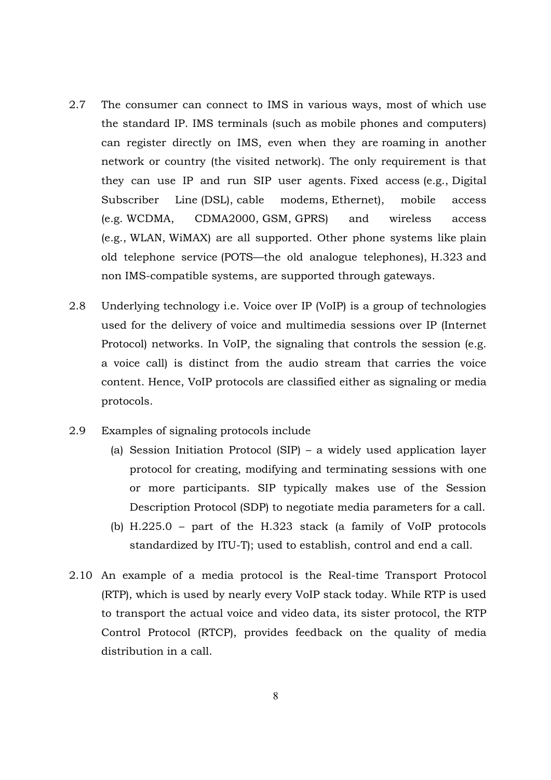- 2.7 The consumer can connect to IMS in various ways, most of which use the standard IP. IMS terminals (such as mobile phones and computers) can register directly on IMS, even when they are roaming in another network or country (the visited network). The only requirement is that they can use IP and run SIP user agents. Fixed access (e.g., Digital Subscriber Line (DSL), cable modems, Ethernet), mobile access (e.g. WCDMA, CDMA2000, GSM, GPRS) and wireless access (e.g., WLAN, WiMAX) are all supported. Other phone systems like plain old telephone service (POTS—the old analogue telephones), H.323 and non IMS-compatible systems, are supported through gateways.
- 2.8 Underlying technology i.e. Voice over IP (VoIP) is a group of technologies used for the delivery of voice and multimedia sessions over IP (Internet Protocol) networks. In VoIP, the signaling that controls the session (e.g. a voice call) is distinct from the audio stream that carries the voice content. Hence, VoIP protocols are classified either as signaling or media protocols.
- 2.9 Examples of signaling protocols include
	- (a) Session Initiation Protocol (SIP) a widely used application layer protocol for creating, modifying and terminating sessions with one or more participants. SIP typically makes use of the Session Description Protocol (SDP) to negotiate media parameters for a call.
	- (b) H.225.0 part of the H.323 stack (a family of VoIP protocols standardized by ITU-T); used to establish, control and end a call.
- 2.10 An example of a media protocol is the Real-time Transport Protocol (RTP), which is used by nearly every VoIP stack today. While RTP is used to transport the actual voice and video data, its sister protocol, the RTP Control Protocol (RTCP), provides feedback on the quality of media distribution in a call.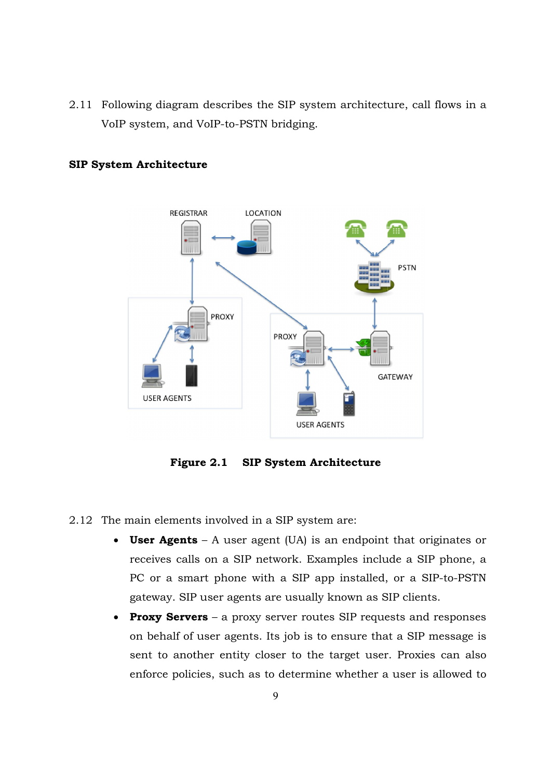2.11 Following diagram describes the SIP system architecture, call flows in a VoIP system, and VoIP VoIP-to-PSTN bridging.



## SIP System Architecture

Figure 2.1 **SIP System Architecture** 

## 2.12 The main elements involved in a SIP system are: SIP system

- User Agents  $A$  user agent (UA) is an endpoint that originates or receives calls on a SIP network. Examples include a SIP phone, a PC or a smart phone with a SIP app installed, or a SIP gateway. SIP user agents are usually known as SIP clients.
- Proxy Servers a proxy server routes SIP requests and responses on behalf of user agents. Its job is to ensure that a SIP message is sent to another entity closer to the target user. Proxies can also enforce policies, such as to determine whether a user is allowe requests and responses<br>agents. Its job is to ensure that a SIP message is<br>entity closer to the target user. Proxies can also<br>uch as to determine whether a user is allowed to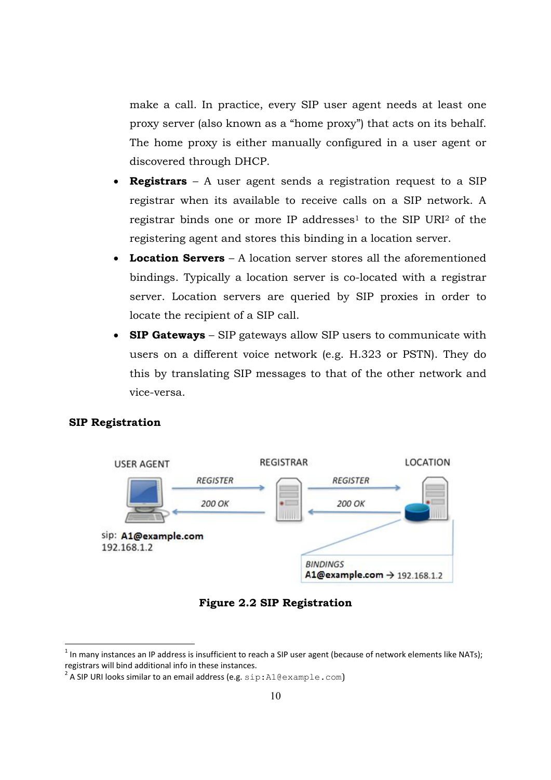make a call. In practice, every SIP user agent needs at least one proxy server (also known as a "home proxy") that acts on its behalf. The home proxy is either manually configured in a user agent or discovered through DHCP.

- **Registrars** A user agent sends a registration request to a SIP registrar when its available to receive calls on a SIP network. A registrar binds one or more IP addresses<sup>1</sup> to the SIP URI<sup>2</sup> of the registering agent and stores this binding in a location server.
- Location Servers A location server stores all the aforementioned bindings. Typically a location server is co-located with a registrar server. Location servers are queried by SIP proxies in order to locate the recipient of a SIP call.
- SIP Gateways SIP gateways allow SIP users to communicate with users on a different voice network (e.g. H.323 or PSTN). They do this by translating SIP messages to that of the other network and vice-versa.

# SIP Registration



Figure 2.2 SIP Registration

 $1$  In many instances an IP address is insufficient to reach a SIP user agent (because of network elements like NATs); registrars will bind additional info in these instances.

<sup>&</sup>lt;sup>2</sup> A SIP URI looks similar to an email address (e.g.  $\text{sip:Al@example.com}$ )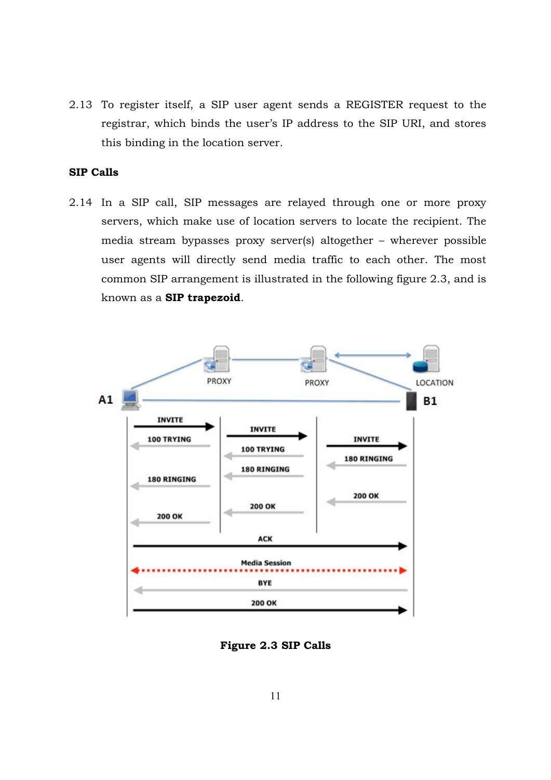2.13 To register itself, a SIP user agent sends a REGISTER request to the registrar, which binds the user's IP address to the SIP URI, and stores this binding in the location server.

# SIP Calls

2.14 In a SIP call, SIP messages are relayed through one or more proxy servers, which make use of location servers to locate the recipient. The media stream bypasses proxy server(s) altogether – wherever possible user agents will directly send media traffic to each other. The most common SIP arrangement is illustrated in the following figure 2.3, and is known as a SIP trapezoid.



Figure 2.3 SIP Calls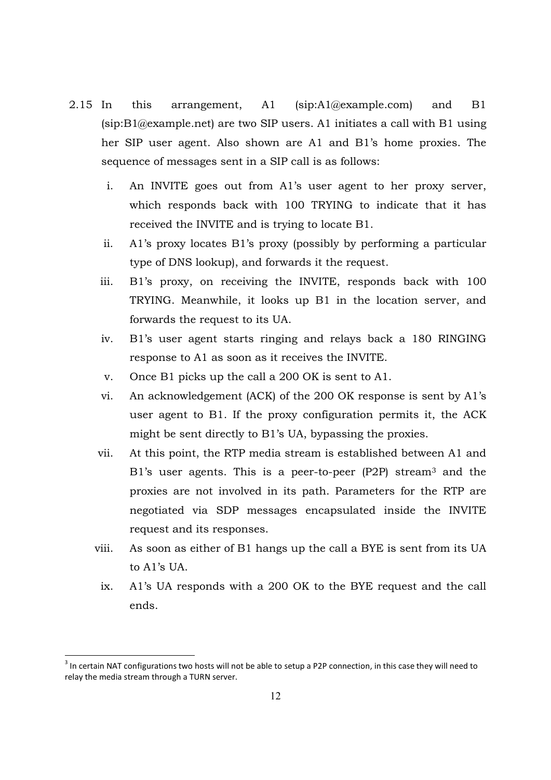- 2.15 In this arrangement, A1 (sip:A1@example.com) and B1 (sip:B1@example.net) are two SIP users. A1 initiates a call with B1 using her SIP user agent. Also shown are A1 and B1's home proxies. The sequence of messages sent in a SIP call is as follows:
	- i. An INVITE goes out from A1's user agent to her proxy server, which responds back with 100 TRYING to indicate that it has received the INVITE and is trying to locate B1.
	- ii. A1's proxy locates B1's proxy (possibly by performing a particular type of DNS lookup), and forwards it the request.
	- iii. B1's proxy, on receiving the INVITE, responds back with 100 TRYING. Meanwhile, it looks up B1 in the location server, and forwards the request to its UA.
	- iv. B1's user agent starts ringing and relays back a 180 RINGING response to A1 as soon as it receives the INVITE.
	- v. Once B1 picks up the call a 200 OK is sent to A1.
	- vi. An acknowledgement (ACK) of the 200 OK response is sent by A1's user agent to B1. If the proxy configuration permits it, the ACK might be sent directly to B1's UA, bypassing the proxies.
	- vii. At this point, the RTP media stream is established between A1 and B1's user agents. This is a peer-to-peer (P2P) stream<sup>3</sup> and the proxies are not involved in its path. Parameters for the RTP are negotiated via SDP messages encapsulated inside the INVITE request and its responses.
	- viii. As soon as either of B1 hangs up the call a BYE is sent from its UA to A1's UA.
	- ix. A1's UA responds with a 200 OK to the BYE request and the call ends.

 $3$  In certain NAT configurations two hosts will not be able to setup a P2P connection, in this case they will need to relay the media stream through a TURN server.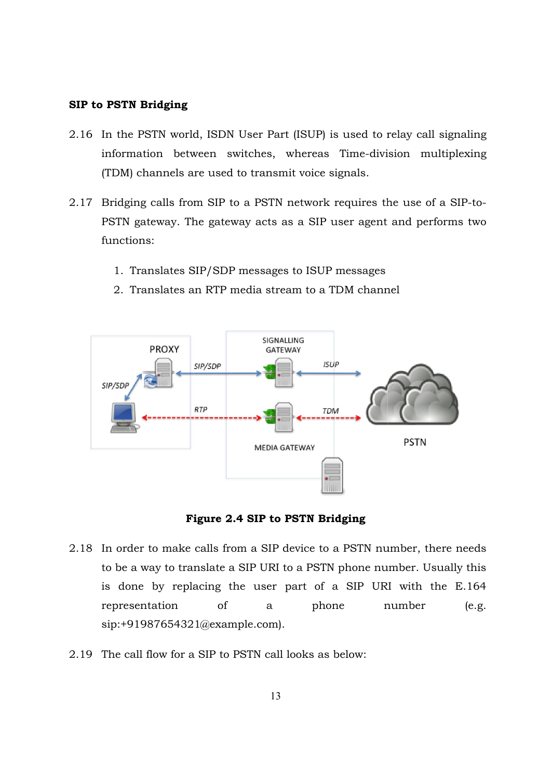## SIP to PSTN Bridging

- 2.16 In the PSTN world, ISDN User Part (ISUP) is used to relay call signaling information between switches, whereas Time Time-division multiplexing (TDM) channels are used to transmit voice signals. information between switches, whereas Time-division multiplexing<br>(TDM) channels are used to transmit voice signals.<br>2.17 Bridging calls from SIP to a PSTN network requires the use of a SIP-to-
- Bridging calls from SIP to a PSTN network requires the use of a SIP-to-<br>PSTN gateway. The gateway acts as a SIP user agent and performs two functions:
	- 1. Translates SIP/SDP messages to ISUP messages
	- 2. Translates an RTP media stream to a TDM channel



Figure 2.4 SIP to PSTN Bridging

- 2.18 In order to make calls from a SIP device to a PSTN number, there needs to be a way to translate a SIP URI to a PSTN phone number. Usually this is done by replacing the user part of a SIP URI with the E.164 representation of a phone number (e.g. sip:+91987654321@example.com sip:+91987654321@example.com). this<br>.164<br>(e.g.
- 2.19 The call flow for a SIP to PSTN call looks as below: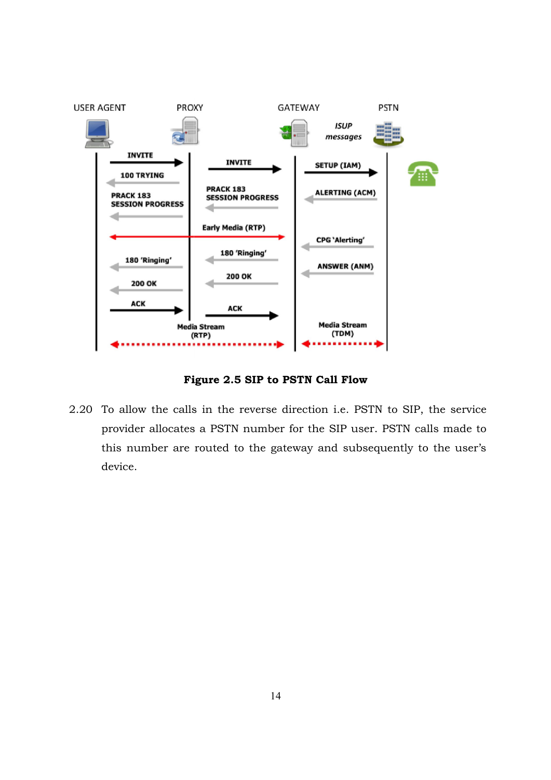

Figure 2.5 SIP to PSTN Call Flow

2.20 To allow the calls in the reverse direction i.e. PSTN to SIP, the service provider allocates a PSTN number for the SIP user. PSTN calls made to this number are routed to the gateway and subsequently to the user device. the calls in the reverse direction i.e. PSTN to SIP, the service<br>allocates a PSTN number for the SIP user. PSTN calls made to<br>ber are routed to the gateway and subsequently to the user's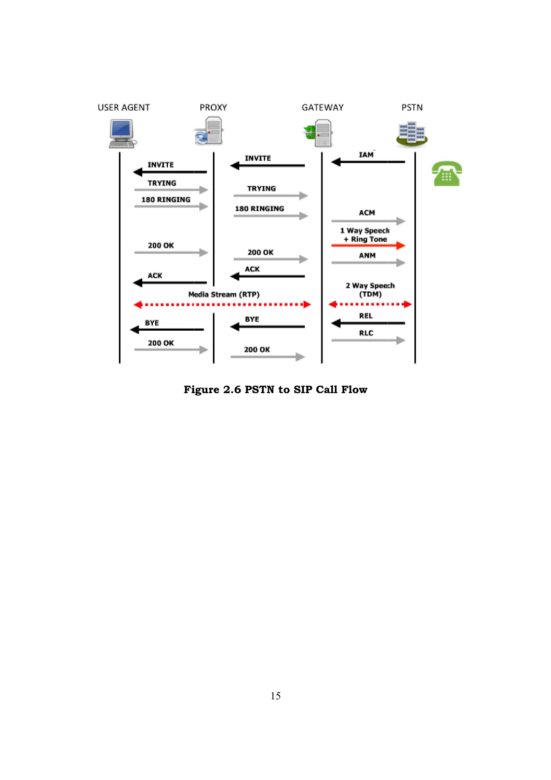

Figure 2.6 PSTN to SIP Call Flow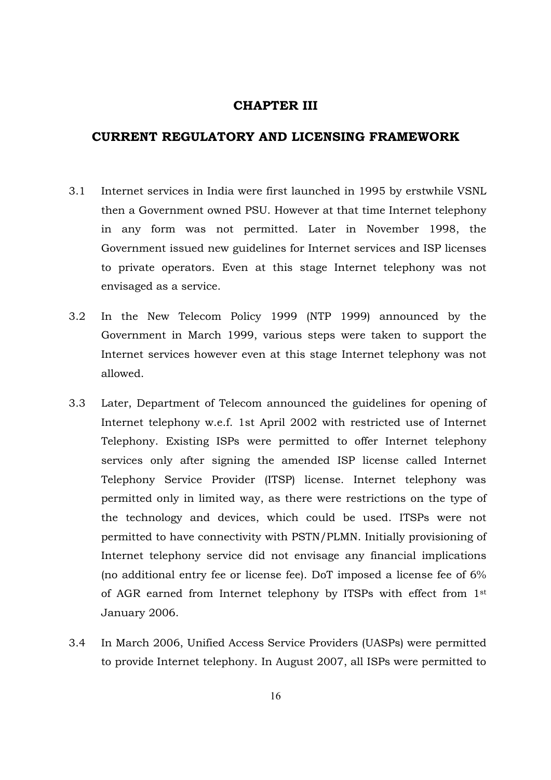## CHAPTER III

# CURRENT REGULATORY AND LICENSING FRAMEWORK

- 3.1 Internet services in India were first launched in 1995 by erstwhile VSNL then a Government owned PSU. However at that time Internet telephony in any form was not permitted. Later in November 1998, the Government issued new guidelines for Internet services and ISP licenses to private operators. Even at this stage Internet telephony was not envisaged as a service.
- 3.2 In the New Telecom Policy 1999 (NTP 1999) announced by the Government in March 1999, various steps were taken to support the Internet services however even at this stage Internet telephony was not allowed.
- 3.3 Later, Department of Telecom announced the guidelines for opening of Internet telephony w.e.f. 1st April 2002 with restricted use of Internet Telephony. Existing ISPs were permitted to offer Internet telephony services only after signing the amended ISP license called Internet Telephony Service Provider (ITSP) license. Internet telephony was permitted only in limited way, as there were restrictions on the type of the technology and devices, which could be used. ITSPs were not permitted to have connectivity with PSTN/PLMN. Initially provisioning of Internet telephony service did not envisage any financial implications (no additional entry fee or license fee). DoT imposed a license fee of 6% of AGR earned from Internet telephony by ITSPs with effect from 1st January 2006.
- 3.4 In March 2006, Unified Access Service Providers (UASPs) were permitted to provide Internet telephony. In August 2007, all ISPs were permitted to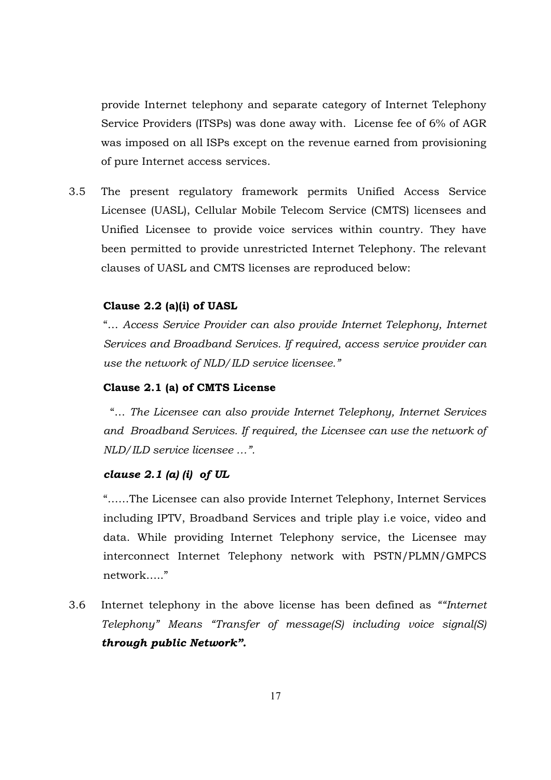provide Internet telephony and separate category of Internet Telephony Service Providers (ITSPs) was done away with. License fee of 6% of AGR was imposed on all ISPs except on the revenue earned from provisioning of pure Internet access services.

3.5 The present regulatory framework permits Unified Access Service Licensee (UASL), Cellular Mobile Telecom Service (CMTS) licensees and Unified Licensee to provide voice services within country. They have been permitted to provide unrestricted Internet Telephony. The relevant clauses of UASL and CMTS licenses are reproduced below:

## Clause 2.2 (a)(i) of UASL

"… *Access Service Provider can also provide Internet Telephony, Internet Services and Broadband Services. If required, access service provider can use the network of NLD/ILD service licensee."*

## Clause 2.1 (a) of CMTS License

 "… *The Licensee can also provide Internet Telephony, Internet Services and Broadband Services. If required, the Licensee can use the network of NLD/ILD service licensee …".*

# *clause 2.1 (a) (i) of UL*

"……The Licensee can also provide Internet Telephony, Internet Services including IPTV, Broadband Services and triple play i.e voice, video and data. While providing Internet Telephony service, the Licensee may interconnect Internet Telephony network with PSTN/PLMN/GMPCS network….."

3.6 Internet telephony in the above license has been defined as *""Internet Telephony" Means "Transfer of message(S) including voice signal(S) through public Network".*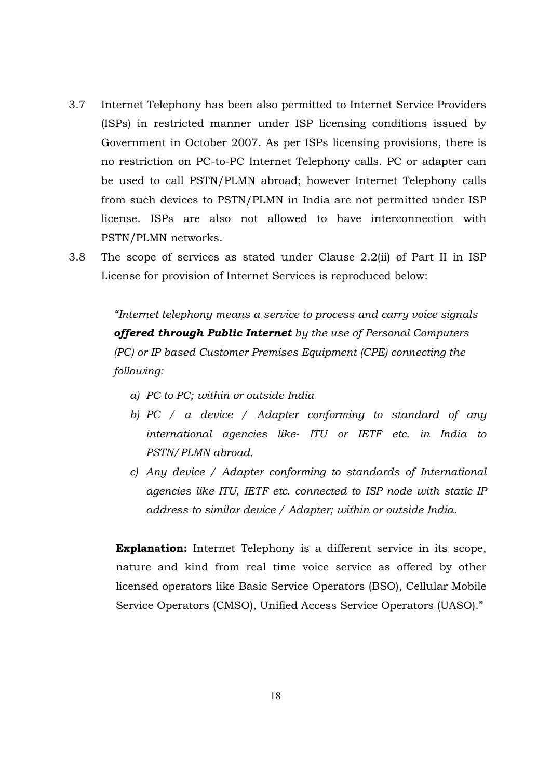- 3.7 Internet Telephony has been also permitted to Internet Service Providers (ISPs) in restricted manner under ISP licensing conditions issued by Government in October 2007. As per ISPs licensing provisions, there is no restriction on PC-to-PC Internet Telephony calls. PC or adapter can be used to call PSTN/PLMN abroad; however Internet Telephony calls from such devices to PSTN/PLMN in India are not permitted under ISP license. ISPs are also not allowed to have interconnection with PSTN/PLMN networks.
- 3.8 The scope of services as stated under Clause 2.2(ii) of Part II in ISP License for provision of Internet Services is reproduced below:

*"Internet telephony means a service to process and carry voice signals offered through Public Internet by the use of Personal Computers (PC) or IP based Customer Premises Equipment (CPE) connecting the following:*

- *a) PC to PC; within or outside India*
- *b) PC / a device / Adapter conforming to standard of any international agencies like- ITU or IETF etc. in India to PSTN/PLMN abroad.*
- *c) Any device / Adapter conforming to standards of International agencies like ITU, IETF etc. connected to ISP node with static IP address to similar device / Adapter; within or outside India.*

**Explanation:** Internet Telephony is a different service in its scope, nature and kind from real time voice service as offered by other licensed operators like Basic Service Operators (BSO), Cellular Mobile Service Operators (CMSO), Unified Access Service Operators (UASO)."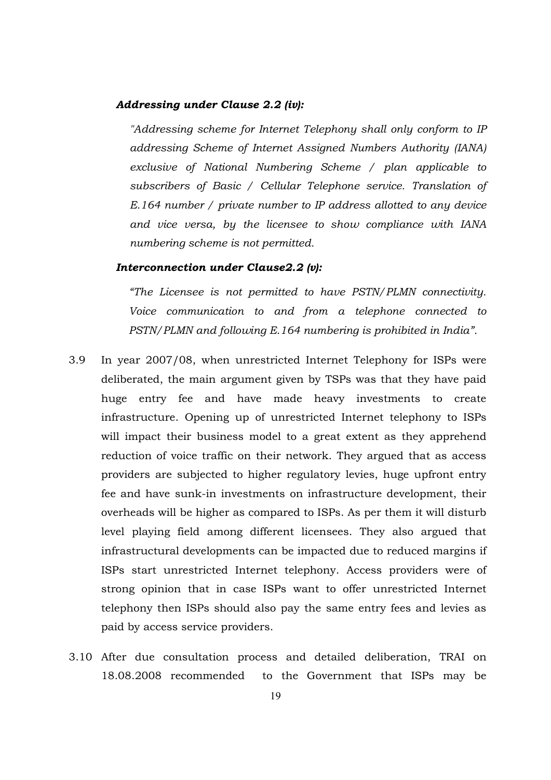#### *Addressing under Clause 2.2 (iv):*

*"Addressing scheme for Internet Telephony shall only conform to IP addressing Scheme of Internet Assigned Numbers Authority (IANA) exclusive of National Numbering Scheme / plan applicable to subscribers of Basic / Cellular Telephone service. Translation of E.164 number / private number to IP address allotted to any device and vice versa, by the licensee to show compliance with IANA numbering scheme is not permitted.*

### *Interconnection under Clause2.2 (v):*

*"The Licensee is not permitted to have PSTN/PLMN connectivity. Voice communication to and from a telephone connected to PSTN/PLMN and following E.164 numbering is prohibited in India".*

- 3.9 In year 2007/08, when unrestricted Internet Telephony for ISPs were deliberated, the main argument given by TSPs was that they have paid huge entry fee and have made heavy investments to create infrastructure. Opening up of unrestricted Internet telephony to ISPs will impact their business model to a great extent as they apprehend reduction of voice traffic on their network. They argued that as access providers are subjected to higher regulatory levies, huge upfront entry fee and have sunk-in investments on infrastructure development, their overheads will be higher as compared to ISPs. As per them it will disturb level playing field among different licensees. They also argued that infrastructural developments can be impacted due to reduced margins if ISPs start unrestricted Internet telephony. Access providers were of strong opinion that in case ISPs want to offer unrestricted Internet telephony then ISPs should also pay the same entry fees and levies as paid by access service providers.
- 3.10 After due consultation process and detailed deliberation, TRAI on 18.08.2008 recommended to the Government that ISPs may be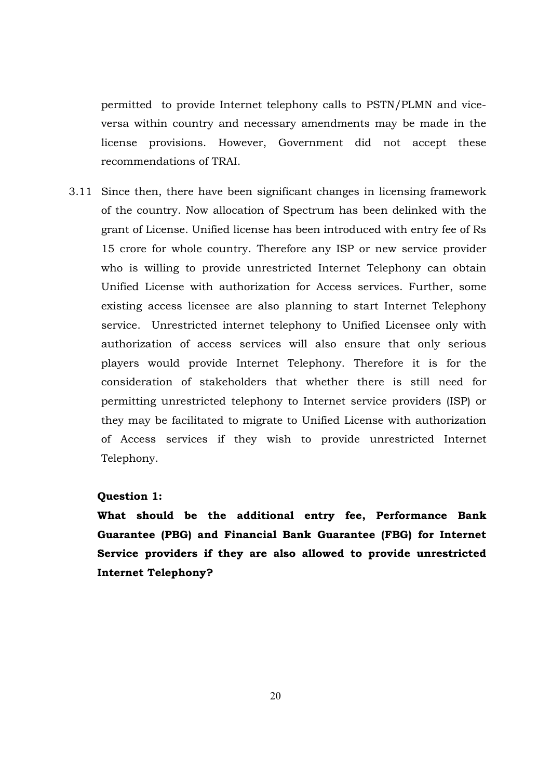permitted to provide Internet telephony calls to PSTN/PLMN and viceversa within country and necessary amendments may be made in the license provisions. However, Government did not accept these recommendations of TRAI.

3.11 Since then, there have been significant changes in licensing framework of the country. Now allocation of Spectrum has been delinked with the grant of License. Unified license has been introduced with entry fee of Rs 15 crore for whole country. Therefore any ISP or new service provider who is willing to provide unrestricted Internet Telephony can obtain Unified License with authorization for Access services. Further, some existing access licensee are also planning to start Internet Telephony service. Unrestricted internet telephony to Unified Licensee only with authorization of access services will also ensure that only serious players would provide Internet Telephony. Therefore it is for the consideration of stakeholders that whether there is still need for permitting unrestricted telephony to Internet service providers (ISP) or they may be facilitated to migrate to Unified License with authorization of Access services if they wish to provide unrestricted Internet Telephony.

## Question 1:

What should be the additional entry fee, Performance Bank Guarantee (PBG) and Financial Bank Guarantee (FBG) for Internet Service providers if they are also allowed to provide unrestricted Internet Telephony?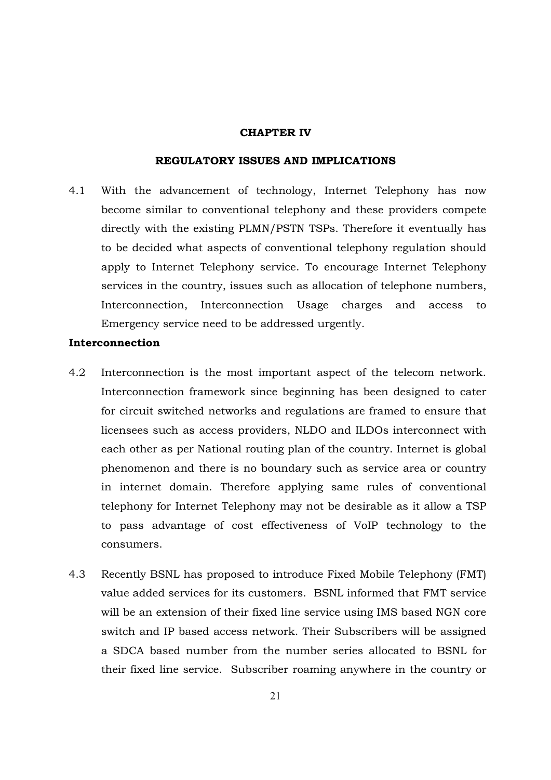#### CHAPTER IV

## REGULATORY ISSUES AND IMPLICATIONS

4.1 With the advancement of technology, Internet Telephony has now become similar to conventional telephony and these providers compete directly with the existing PLMN/PSTN TSPs. Therefore it eventually has to be decided what aspects of conventional telephony regulation should apply to Internet Telephony service. To encourage Internet Telephony services in the country, issues such as allocation of telephone numbers, Interconnection, Interconnection Usage charges and access to Emergency service need to be addressed urgently.

### Interconnection

- 4.2 Interconnection is the most important aspect of the telecom network. Interconnection framework since beginning has been designed to cater for circuit switched networks and regulations are framed to ensure that licensees such as access providers, NLDO and ILDOs interconnect with each other as per National routing plan of the country. Internet is global phenomenon and there is no boundary such as service area or country in internet domain. Therefore applying same rules of conventional telephony for Internet Telephony may not be desirable as it allow a TSP to pass advantage of cost effectiveness of VoIP technology to the consumers.
- 4.3 Recently BSNL has proposed to introduce Fixed Mobile Telephony (FMT) value added services for its customers. BSNL informed that FMT service will be an extension of their fixed line service using IMS based NGN core switch and IP based access network. Their Subscribers will be assigned a SDCA based number from the number series allocated to BSNL for their fixed line service. Subscriber roaming anywhere in the country or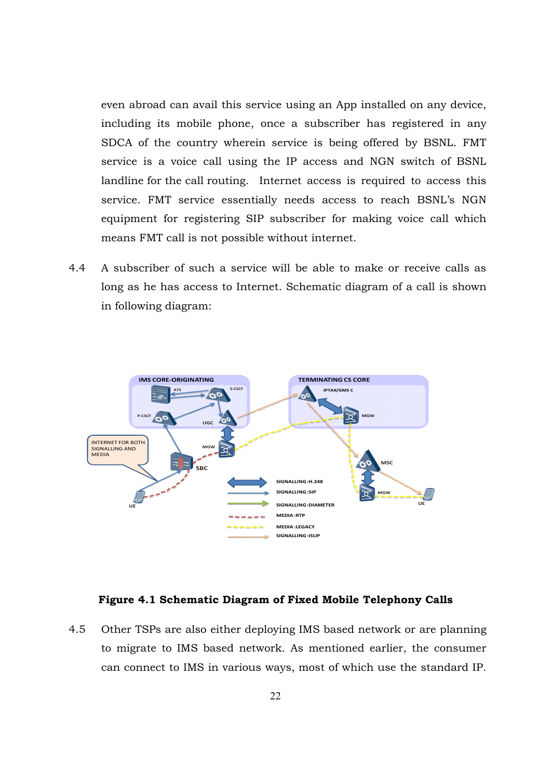even abroad can avail this service using an App installed on any device, including its mobile phone, once a subscriber has registered in any SDCA of the country wherein service is being offered by BSNL. FMT service is a voice call using the IP access and NGN switch of BSNL landline for the call routing. Internet access is required to access this service. FMT service essentially needs access to reach BSNL's NGN equipment for registering SIP subscriber for making voice call which means FMT call is not possible without internet.

4.4 A subscriber of such a service will be able to make or receive calls as long as he has access to Internet. Schematic diagram of a call is shown in following diagram:



#### Figure 4.1 Schematic Diagram of Fixed Mobile Telephony Calls

4.5 Other TSPs are also either deploying IMS based network or are planning to migrate to IMS based network. As mentioned earlier, the consumer can connect to IMS in various ways, most of which use the standard IP.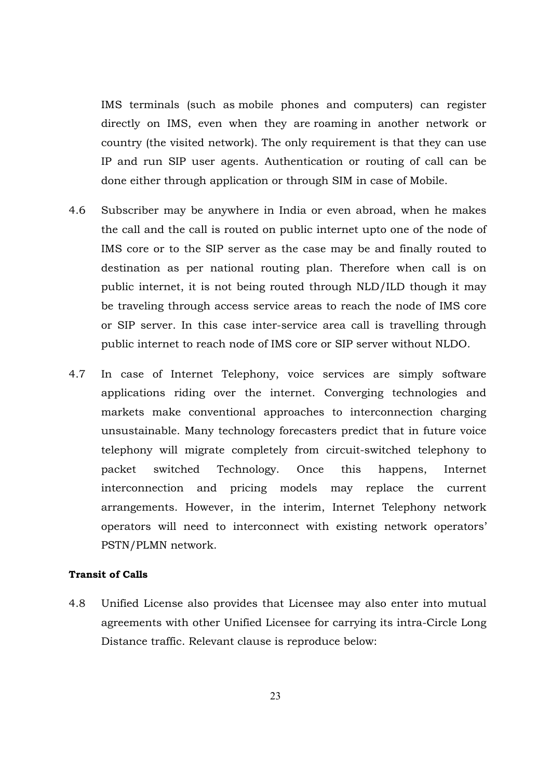IMS terminals (such as mobile phones and computers) can register directly on IMS, even when they are roaming in another network or country (the visited network). The only requirement is that they can use IP and run SIP user agents. Authentication or routing of call can be done either through application or through SIM in case of Mobile.

- 4.6 Subscriber may be anywhere in India or even abroad, when he makes the call and the call is routed on public internet upto one of the node of IMS core or to the SIP server as the case may be and finally routed to destination as per national routing plan. Therefore when call is on public internet, it is not being routed through NLD/ILD though it may be traveling through access service areas to reach the node of IMS core or SIP server. In this case inter-service area call is travelling through public internet to reach node of IMS core or SIP server without NLDO.
- 4.7 In case of Internet Telephony, voice services are simply software applications riding over the internet. Converging technologies and markets make conventional approaches to interconnection charging unsustainable. Many technology forecasters predict that in future voice telephony will migrate completely from circuit-switched telephony to packet switched Technology. Once this happens, Internet interconnection and pricing models may replace the current arrangements. However, in the interim, Internet Telephony network operators will need to interconnect with existing network operators' PSTN/PLMN network.

#### Transit of Calls

4.8 Unified License also provides that Licensee may also enter into mutual agreements with other Unified Licensee for carrying its intra-Circle Long Distance traffic. Relevant clause is reproduce below: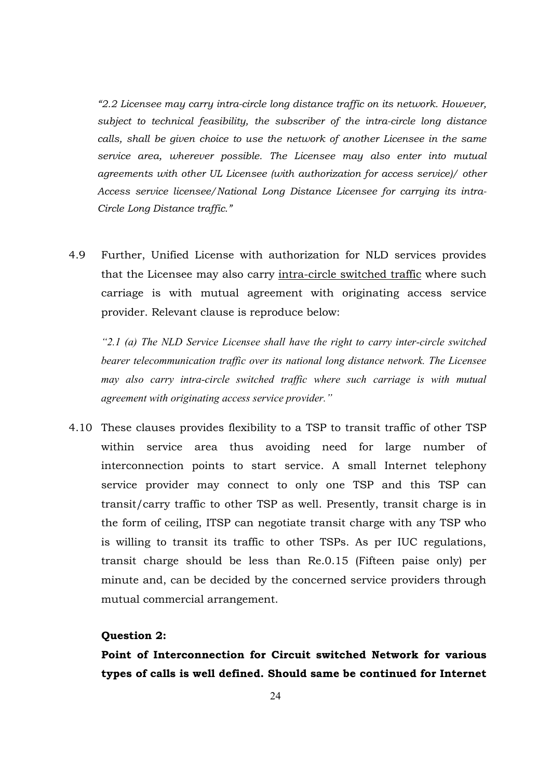*"2.2 Licensee may carry intra-circle long distance traffic on its network. However, subject to technical feasibility, the subscriber of the intra-circle long distance calls, shall be given choice to use the network of another Licensee in the same service area, wherever possible. The Licensee may also enter into mutual agreements with other UL Licensee (with authorization for access service)/ other Access service licensee/National Long Distance Licensee for carrying its intra-Circle Long Distance traffic."*

4.9 Further, Unified License with authorization for NLD services provides that the Licensee may also carry intra-circle switched traffic where such carriage is with mutual agreement with originating access service provider. Relevant clause is reproduce below:

*"2.1 (a) The NLD Service Licensee shall have the right to carry inter-circle switched bearer telecommunication traffic over its national long distance network. The Licensee may also carry intra-circle switched traffic where such carriage is with mutual agreement with originating access service provider."*

4.10 These clauses provides flexibility to a TSP to transit traffic of other TSP within service area thus avoiding need for large number of interconnection points to start service. A small Internet telephony service provider may connect to only one TSP and this TSP can transit/carry traffic to other TSP as well. Presently, transit charge is in the form of ceiling, ITSP can negotiate transit charge with any TSP who is willing to transit its traffic to other TSPs. As per IUC regulations, transit charge should be less than Re.0.15 (Fifteen paise only) per minute and, can be decided by the concerned service providers through mutual commercial arrangement.

## Question 2:

Point of Interconnection for Circuit switched Network for various types of calls is well defined. Should same be continued for Internet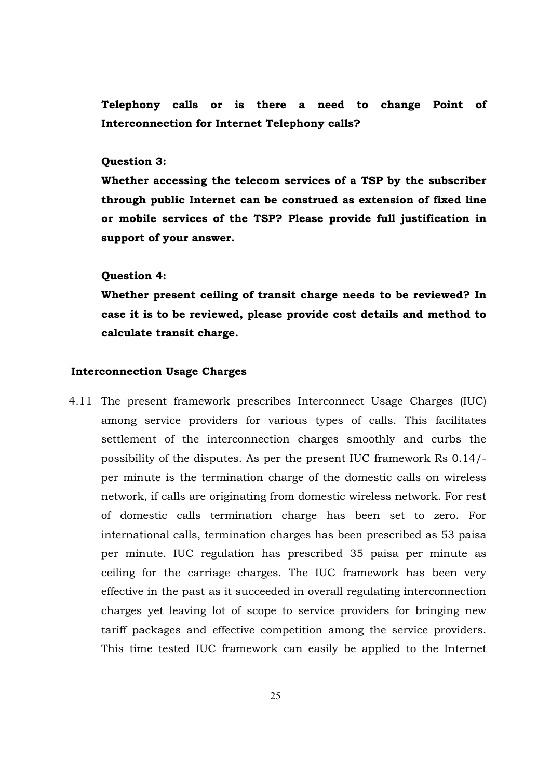Telephony calls or is there a need to change Point of Interconnection for Internet Telephony calls?

#### Question 3:

Whether accessing the telecom services of a TSP by the subscriber through public Internet can be construed as extension of fixed line or mobile services of the TSP? Please provide full justification in support of your answer.

#### Question 4:

Whether present ceiling of transit charge needs to be reviewed? In case it is to be reviewed, please provide cost details and method to calculate transit charge.

### Interconnection Usage Charges

4.11 The present framework prescribes Interconnect Usage Charges (IUC) among service providers for various types of calls. This facilitates settlement of the interconnection charges smoothly and curbs the possibility of the disputes. As per the present IUC framework Rs 0.14/ per minute is the termination charge of the domestic calls on wireless network, if calls are originating from domestic wireless network. For rest of domestic calls termination charge has been set to zero. For international calls, termination charges has been prescribed as 53 paisa per minute. IUC regulation has prescribed 35 paisa per minute as ceiling for the carriage charges. The IUC framework has been very effective in the past as it succeeded in overall regulating interconnection charges yet leaving lot of scope to service providers for bringing new tariff packages and effective competition among the service providers. This time tested IUC framework can easily be applied to the Internet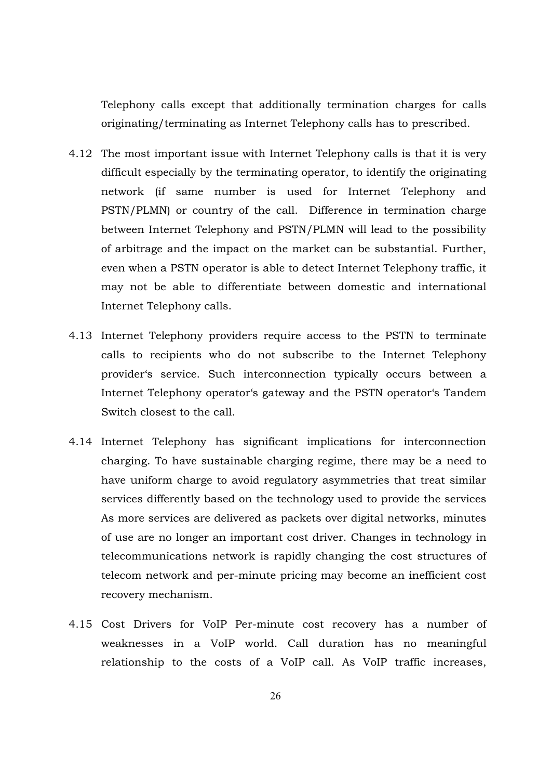Telephony calls except that additionally termination charges for calls originating/terminating as Internet Telephony calls has to prescribed.

- 4.12 The most important issue with Internet Telephony calls is that it is very difficult especially by the terminating operator, to identify the originating network (if same number is used for Internet Telephony and PSTN/PLMN) or country of the call. Difference in termination charge between Internet Telephony and PSTN/PLMN will lead to the possibility of arbitrage and the impact on the market can be substantial. Further, even when a PSTN operator is able to detect Internet Telephony traffic, it may not be able to differentiate between domestic and international Internet Telephony calls.
- 4.13 Internet Telephony providers require access to the PSTN to terminate calls to recipients who do not subscribe to the Internet Telephony provider's service. Such interconnection typically occurs between a Internet Telephony operator's gateway and the PSTN operator's Tandem Switch closest to the call.
- 4.14 Internet Telephony has significant implications for interconnection charging. To have sustainable charging regime, there may be a need to have uniform charge to avoid regulatory asymmetries that treat similar services differently based on the technology used to provide the services As more services are delivered as packets over digital networks, minutes of use are no longer an important cost driver. Changes in technology in telecommunications network is rapidly changing the cost structures of telecom network and per-minute pricing may become an inefficient cost recovery mechanism.
- 4.15 Cost Drivers for VoIP Per-minute cost recovery has a number of weaknesses in a VoIP world. Call duration has no meaningful relationship to the costs of a VoIP call. As VoIP traffic increases,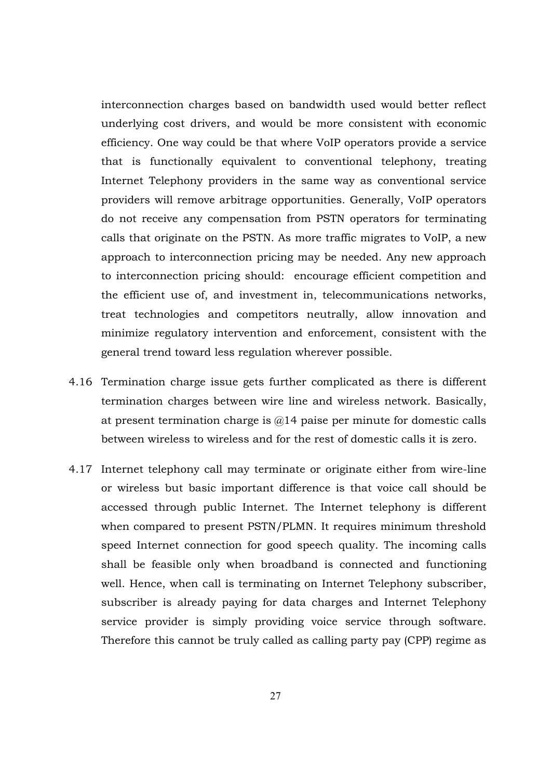interconnection charges based on bandwidth used would better reflect underlying cost drivers, and would be more consistent with economic efficiency. One way could be that where VoIP operators provide a service that is functionally equivalent to conventional telephony, treating Internet Telephony providers in the same way as conventional service providers will remove arbitrage opportunities. Generally, VoIP operators do not receive any compensation from PSTN operators for terminating calls that originate on the PSTN. As more traffic migrates to VoIP, a new approach to interconnection pricing may be needed. Any new approach to interconnection pricing should: encourage efficient competition and the efficient use of, and investment in, telecommunications networks, treat technologies and competitors neutrally, allow innovation and minimize regulatory intervention and enforcement, consistent with the general trend toward less regulation wherever possible.

- 4.16 Termination charge issue gets further complicated as there is different termination charges between wire line and wireless network. Basically, at present termination charge is  $\omega$  14 paise per minute for domestic calls between wireless to wireless and for the rest of domestic calls it is zero.
- 4.17 Internet telephony call may terminate or originate either from wire-line or wireless but basic important difference is that voice call should be accessed through public Internet. The Internet telephony is different when compared to present PSTN/PLMN. It requires minimum threshold speed Internet connection for good speech quality. The incoming calls shall be feasible only when broadband is connected and functioning well. Hence, when call is terminating on Internet Telephony subscriber, subscriber is already paying for data charges and Internet Telephony service provider is simply providing voice service through software. Therefore this cannot be truly called as calling party pay (CPP) regime as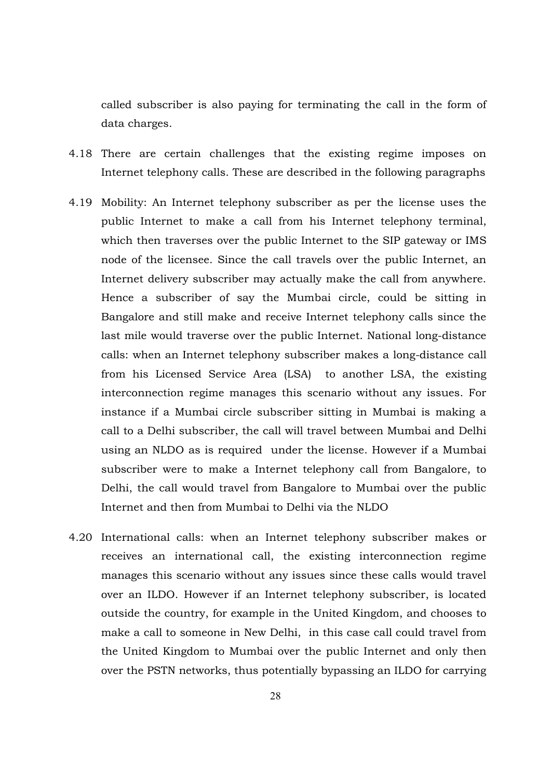called subscriber is also paying for terminating the call in the form of data charges.

- 4.18 There are certain challenges that the existing regime imposes on Internet telephony calls. These are described in the following paragraphs
- 4.19 Mobility: An Internet telephony subscriber as per the license uses the public Internet to make a call from his Internet telephony terminal, which then traverses over the public Internet to the SIP gateway or IMS node of the licensee. Since the call travels over the public Internet, an Internet delivery subscriber may actually make the call from anywhere. Hence a subscriber of say the Mumbai circle, could be sitting in Bangalore and still make and receive Internet telephony calls since the last mile would traverse over the public Internet. National long-distance calls: when an Internet telephony subscriber makes a long-distance call from his Licensed Service Area (LSA) to another LSA, the existing interconnection regime manages this scenario without any issues. For instance if a Mumbai circle subscriber sitting in Mumbai is making a call to a Delhi subscriber, the call will travel between Mumbai and Delhi using an NLDO as is required under the license. However if a Mumbai subscriber were to make a Internet telephony call from Bangalore, to Delhi, the call would travel from Bangalore to Mumbai over the public Internet and then from Mumbai to Delhi via the NLDO
- 4.20 International calls: when an Internet telephony subscriber makes or receives an international call, the existing interconnection regime manages this scenario without any issues since these calls would travel over an ILDO. However if an Internet telephony subscriber, is located outside the country, for example in the United Kingdom, and chooses to make a call to someone in New Delhi, in this case call could travel from the United Kingdom to Mumbai over the public Internet and only then over the PSTN networks, thus potentially bypassing an ILDO for carrying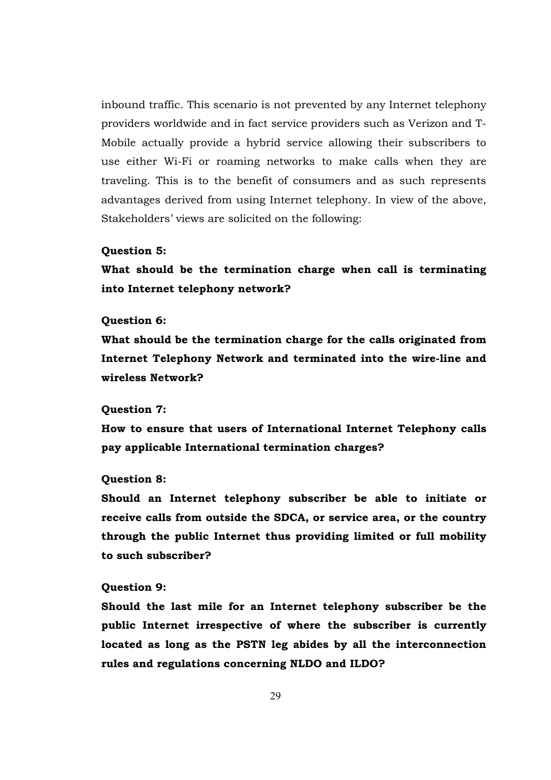inbound traffic. This scenario is not prevented by any Internet telephony providers worldwide and in fact service providers such as Verizon and T-Mobile actually provide a hybrid service allowing their subscribers to use either Wi-Fi or roaming networks to make calls when they are traveling. This is to the benefit of consumers and as such represents advantages derived from using Internet telephony. In view of the above, Stakeholders' views are solicited on the following:

#### Question 5:

What should be the termination charge when call is terminating into Internet telephony network?

#### Question 6:

What should be the termination charge for the calls originated from Internet Telephony Network and terminated into the wire-line and wireless Network?

#### Question 7:

How to ensure that users of International Internet Telephony calls pay applicable International termination charges?

#### Question 8:

Should an Internet telephony subscriber be able to initiate or receive calls from outside the SDCA, or service area, or the country through the public Internet thus providing limited or full mobility to such subscriber?

#### Question 9:

Should the last mile for an Internet telephony subscriber be the public Internet irrespective of where the subscriber is currently located as long as the PSTN leg abides by all the interconnection rules and regulations concerning NLDO and ILDO?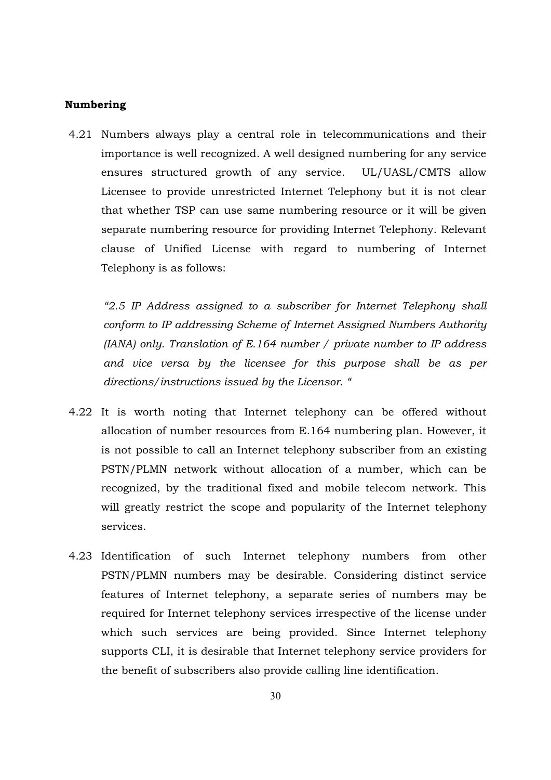## Numbering

4.21 Numbers always play a central role in telecommunications and their importance is well recognized. A well designed numbering for any service ensures structured growth of any service. UL/UASL/CMTS allow Licensee to provide unrestricted Internet Telephony but it is not clear that whether TSP can use same numbering resource or it will be given separate numbering resource for providing Internet Telephony. Relevant clause of Unified License with regard to numbering of Internet Telephony is as follows:

*"2.5 IP Address assigned to a subscriber for Internet Telephony shall conform to IP addressing Scheme of Internet Assigned Numbers Authority (IANA) only. Translation of E.164 number / private number to IP address and vice versa by the licensee for this purpose shall be as per directions/instructions issued by the Licensor. "*

- 4.22 It is worth noting that Internet telephony can be offered without allocation of number resources from E.164 numbering plan. However, it is not possible to call an Internet telephony subscriber from an existing PSTN/PLMN network without allocation of a number, which can be recognized, by the traditional fixed and mobile telecom network. This will greatly restrict the scope and popularity of the Internet telephony services.
- 4.23 Identification of such Internet telephony numbers from other PSTN/PLMN numbers may be desirable. Considering distinct service features of Internet telephony, a separate series of numbers may be required for Internet telephony services irrespective of the license under which such services are being provided. Since Internet telephony supports CLI, it is desirable that Internet telephony service providers for the benefit of subscribers also provide calling line identification.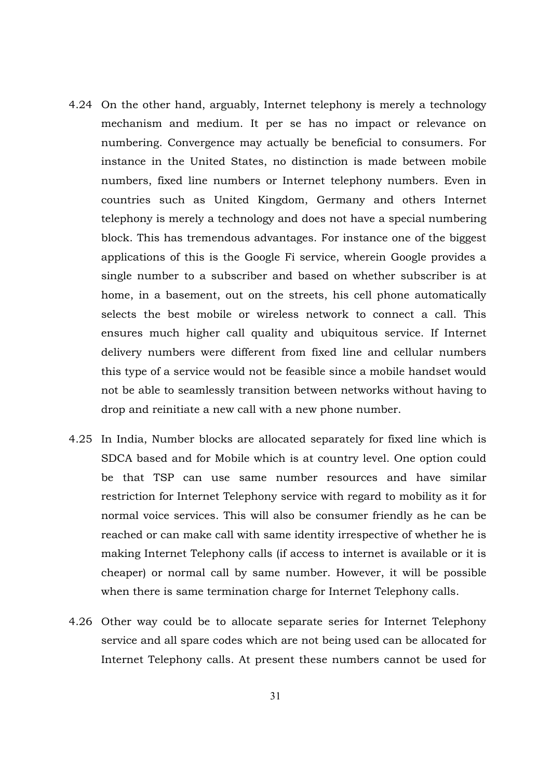- 4.24 On the other hand, arguably, Internet telephony is merely a technology mechanism and medium. It per se has no impact or relevance on numbering. Convergence may actually be beneficial to consumers. For instance in the United States, no distinction is made between mobile numbers, fixed line numbers or Internet telephony numbers. Even in countries such as United Kingdom, Germany and others Internet telephony is merely a technology and does not have a special numbering block. This has tremendous advantages. For instance one of the biggest applications of this is the Google Fi service, wherein Google provides a single number to a subscriber and based on whether subscriber is at home, in a basement, out on the streets, his cell phone automatically selects the best mobile or wireless network to connect a call. This ensures much higher call quality and ubiquitous service. If Internet delivery numbers were different from fixed line and cellular numbers this type of a service would not be feasible since a mobile handset would not be able to seamlessly transition between networks without having to drop and reinitiate a new call with a new phone number.
- 4.25 In India, Number blocks are allocated separately for fixed line which is SDCA based and for Mobile which is at country level. One option could be that TSP can use same number resources and have similar restriction for Internet Telephony service with regard to mobility as it for normal voice services. This will also be consumer friendly as he can be reached or can make call with same identity irrespective of whether he is making Internet Telephony calls (if access to internet is available or it is cheaper) or normal call by same number. However, it will be possible when there is same termination charge for Internet Telephony calls.
- 4.26 Other way could be to allocate separate series for Internet Telephony service and all spare codes which are not being used can be allocated for Internet Telephony calls. At present these numbers cannot be used for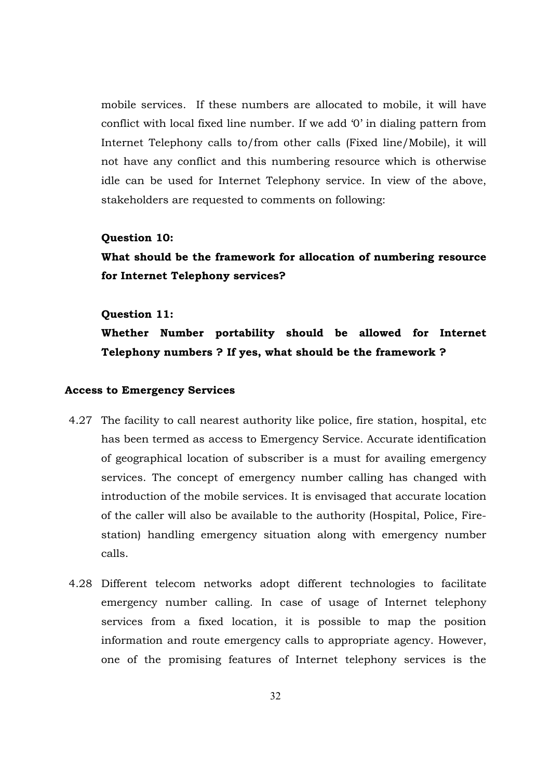mobile services. If these numbers are allocated to mobile, it will have conflict with local fixed line number. If we add '0' in dialing pattern from Internet Telephony calls to/from other calls (Fixed line/Mobile), it will not have any conflict and this numbering resource which is otherwise idle can be used for Internet Telephony service. In view of the above, stakeholders are requested to comments on following:

#### Question 10:

What should be the framework for allocation of numbering resource for Internet Telephony services?

#### Question 11:

Whether Number portability should be allowed for Internet Telephony numbers ? If yes, what should be the framework ?

## Access to Emergency Services

- 4.27 The facility to call nearest authority like police, fire station, hospital, etc has been termed as access to Emergency Service. Accurate identification of geographical location of subscriber is a must for availing emergency services. The concept of emergency number calling has changed with introduction of the mobile services. It is envisaged that accurate location of the caller will also be available to the authority (Hospital, Police, Firestation) handling emergency situation along with emergency number calls.
- 4.28 Different telecom networks adopt different technologies to facilitate emergency number calling. In case of usage of Internet telephony services from a fixed location, it is possible to map the position information and route emergency calls to appropriate agency. However, one of the promising features of Internet telephony services is the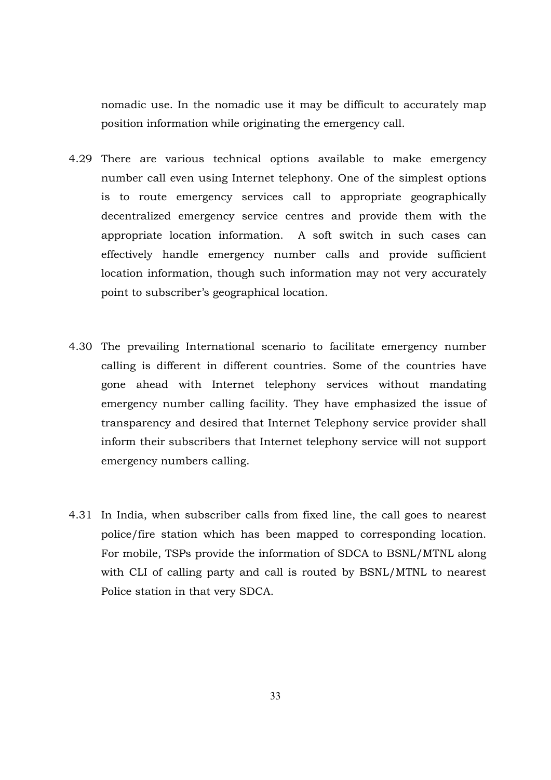nomadic use. In the nomadic use it may be difficult to accurately map position information while originating the emergency call.

- 4.29 There are various technical options available to make emergency number call even using Internet telephony. One of the simplest options is to route emergency services call to appropriate geographically decentralized emergency service centres and provide them with the appropriate location information. A soft switch in such cases can effectively handle emergency number calls and provide sufficient location information, though such information may not very accurately point to subscriber's geographical location.
- 4.30 The prevailing International scenario to facilitate emergency number calling is different in different countries. Some of the countries have gone ahead with Internet telephony services without mandating emergency number calling facility. They have emphasized the issue of transparency and desired that Internet Telephony service provider shall inform their subscribers that Internet telephony service will not support emergency numbers calling.
- 4.31 In India, when subscriber calls from fixed line, the call goes to nearest police/fire station which has been mapped to corresponding location. For mobile, TSPs provide the information of SDCA to BSNL/MTNL along with CLI of calling party and call is routed by BSNL/MTNL to nearest Police station in that very SDCA.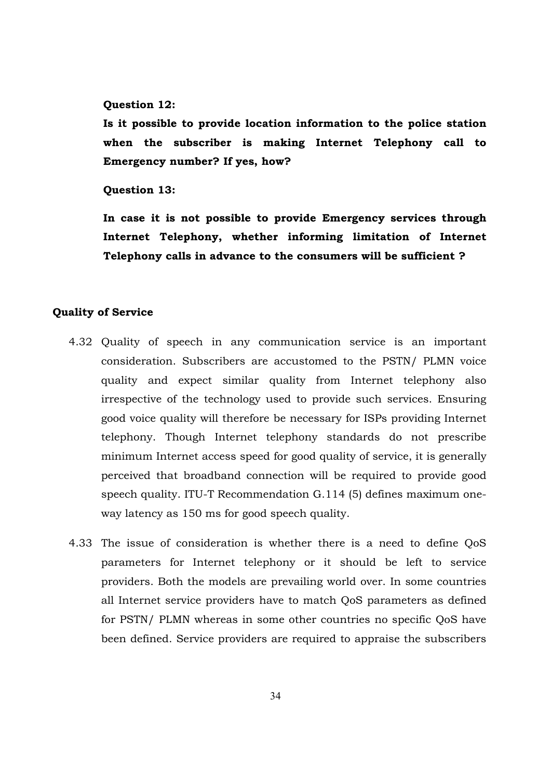#### Question 12:

Is it possible to provide location information to the police station when the subscriber is making Internet Telephony call to Emergency number? If yes, how?

Question 13:

In case it is not possible to provide Emergency services through Internet Telephony, whether informing limitation of Internet Telephony calls in advance to the consumers will be sufficient ?

#### Quality of Service

- 4.32 Quality of speech in any communication service is an important consideration. Subscribers are accustomed to the PSTN/ PLMN voice quality and expect similar quality from Internet telephony also irrespective of the technology used to provide such services. Ensuring good voice quality will therefore be necessary for ISPs providing Internet telephony. Though Internet telephony standards do not prescribe minimum Internet access speed for good quality of service, it is generally perceived that broadband connection will be required to provide good speech quality. ITU-T Recommendation G.114 (5) defines maximum oneway latency as 150 ms for good speech quality.
- 4.33 The issue of consideration is whether there is a need to define QoS parameters for Internet telephony or it should be left to service providers. Both the models are prevailing world over. In some countries all Internet service providers have to match QoS parameters as defined for PSTN/ PLMN whereas in some other countries no specific QoS have been defined. Service providers are required to appraise the subscribers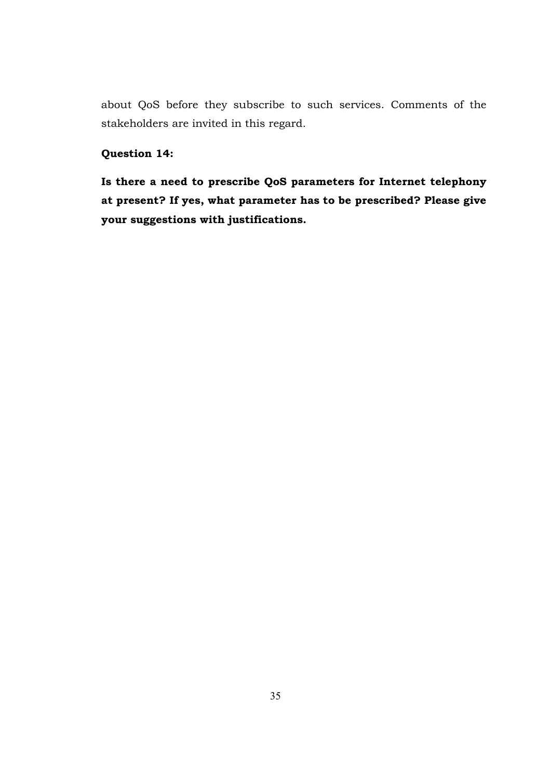about QoS before they subscribe to such services. Comments of the stakeholders are invited in this regard.

# Question 14:

Is there a need to prescribe QoS parameters for Internet telephony at present? If yes, what parameter has to be prescribed? Please give your suggestions with justifications.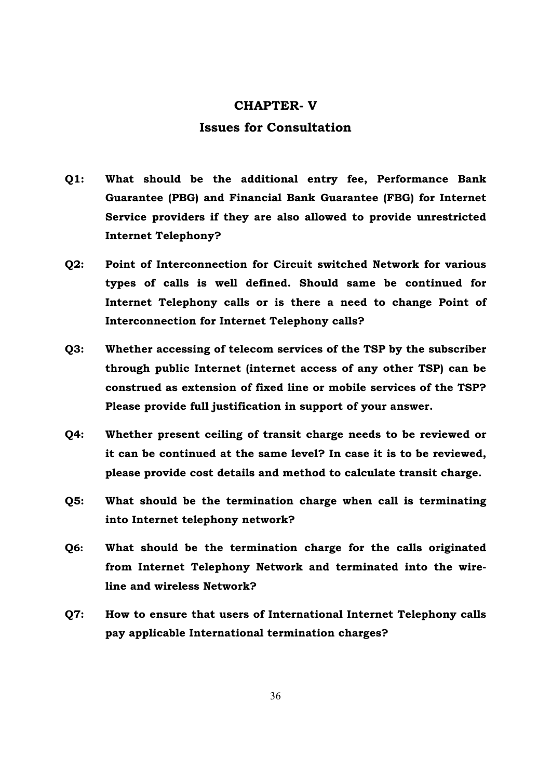### CHAPTER- V

# Issues for Consultation

- Q1: What should be the additional entry fee, Performance Bank Guarantee (PBG) and Financial Bank Guarantee (FBG) for Internet Service providers if they are also allowed to provide unrestricted Internet Telephony?
- Q2: Point of Interconnection for Circuit switched Network for various types of calls is well defined. Should same be continued for Internet Telephony calls or is there a need to change Point of Interconnection for Internet Telephony calls?
- Q3: Whether accessing of telecom services of the TSP by the subscriber through public Internet (internet access of any other TSP) can be construed as extension of fixed line or mobile services of the TSP? Please provide full justification in support of your answer.
- Q4: Whether present ceiling of transit charge needs to be reviewed or it can be continued at the same level? In case it is to be reviewed, please provide cost details and method to calculate transit charge.
- Q5: What should be the termination charge when call is terminating into Internet telephony network?
- Q6: What should be the termination charge for the calls originated from Internet Telephony Network and terminated into the wireline and wireless Network?
- Q7: How to ensure that users of International Internet Telephony calls pay applicable International termination charges?